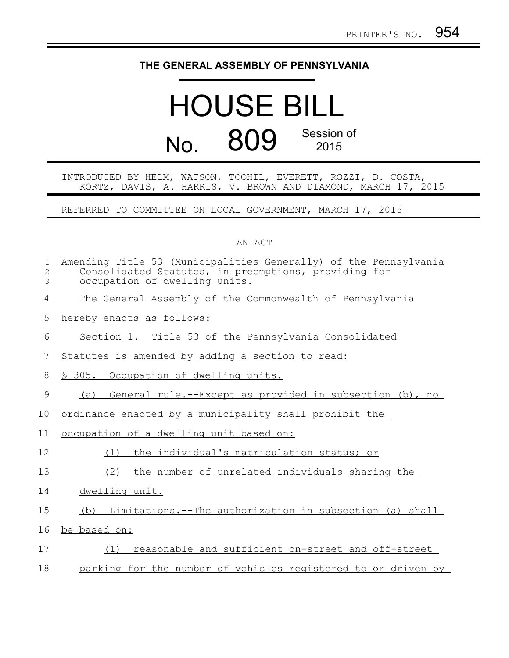## **THE GENERAL ASSEMBLY OF PENNSYLVANIA**

## HOUSE BILL No. 809 Session of 2015

## INTRODUCED BY HELM, WATSON, TOOHIL, EVERETT, ROZZI, D. COSTA, KORTZ, DAVIS, A. HARRIS, V. BROWN AND DIAMOND, MARCH 17, 2015

REFERRED TO COMMITTEE ON LOCAL GOVERNMENT, MARCH 17, 2015

## AN ACT

| $\mathbf{1}$<br>$\overline{c}$<br>3 | Amending Title 53 (Municipalities Generally) of the Pennsylvania<br>Consolidated Statutes, in preemptions, providing for<br>occupation of dwelling units. |
|-------------------------------------|-----------------------------------------------------------------------------------------------------------------------------------------------------------|
| 4                                   | The General Assembly of the Commonwealth of Pennsylvania                                                                                                  |
| 5                                   | hereby enacts as follows:                                                                                                                                 |
| 6                                   | Section 1. Title 53 of the Pennsylvania Consolidated                                                                                                      |
| 7                                   | Statutes is amended by adding a section to read:                                                                                                          |
| 8                                   | \$ 305. Occupation of dwelling units.                                                                                                                     |
| 9                                   | General rule.--Except as provided in subsection (b), no<br>(a)                                                                                            |
| 10                                  | ordinance enacted by a municipality shall prohibit the                                                                                                    |
| 11                                  | occupation of a dwelling unit based on:                                                                                                                   |
| 12                                  | the individual's matriculation status; or<br>(1)                                                                                                          |
| 13                                  | (2)<br>the number of unrelated individuals sharing the                                                                                                    |
| 14                                  | dwelling unit.                                                                                                                                            |
| 15                                  | Limitations.--The authorization in subsection (a) shall<br>(b)                                                                                            |
| 16                                  | be based on:                                                                                                                                              |
| 17                                  | reasonable and sufficient on-street and off-street<br>(1)                                                                                                 |
| 18                                  | parking for the number of vehicles registered to or driven by                                                                                             |